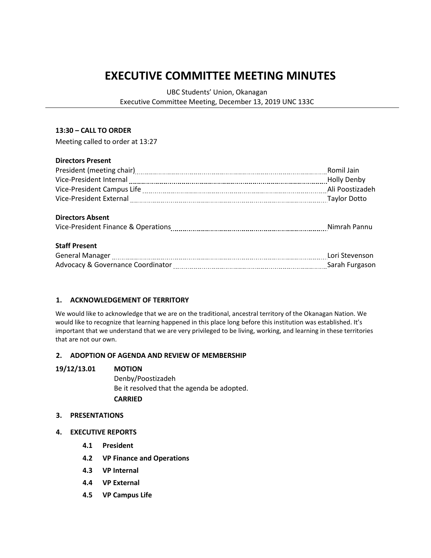# **EXECUTIVE COMMITTEE MEETING MINUTES**

UBC Students' Union, Okanagan

Executive Committee Meeting, December 13, 2019 UNC 133C

#### **13:30 – CALL TO ORDER**

Meeting called to order at 13:27

# **Directors Present**

|                                                                                                               | Romil Jain         |
|---------------------------------------------------------------------------------------------------------------|--------------------|
|                                                                                                               | <b>Holly Denby</b> |
|                                                                                                               | Ali Poostizadeh    |
| Vice-President External [111] Vice-President External [111] Manuschill (2011] May June 2011 and May June 2011 |                    |
| <b>Directors Absent</b>                                                                                       |                    |
|                                                                                                               |                    |
| <b>Staff Present</b>                                                                                          |                    |
|                                                                                                               | Lori Stevenson     |
|                                                                                                               |                    |

## **1. ACKNOWLEDGEMENT OF TERRITORY**

We would like to acknowledge that we are on the traditional, ancestral territory of the Okanagan Nation. We would like to recognize that learning happened in this place long before this institution was established. It's important that we understand that we are very privileged to be living, working, and learning in these territories that are not our own.

## **2. ADOPTION OF AGENDA AND REVIEW OF MEMBERSHIP**

#### **19/12/13.01 MOTION**

Denby/Poostizadeh Be it resolved that the agenda be adopted. **CARRIED**

#### **3. PRESENTATIONS**

- **4. EXECUTIVE REPORTS**
	- **4.1 President**
	- **4.2 VP Finance and Operations**
	- **4.3 VP Internal**
	- **4.4 VP External**
	- **4.5 VP Campus Life**